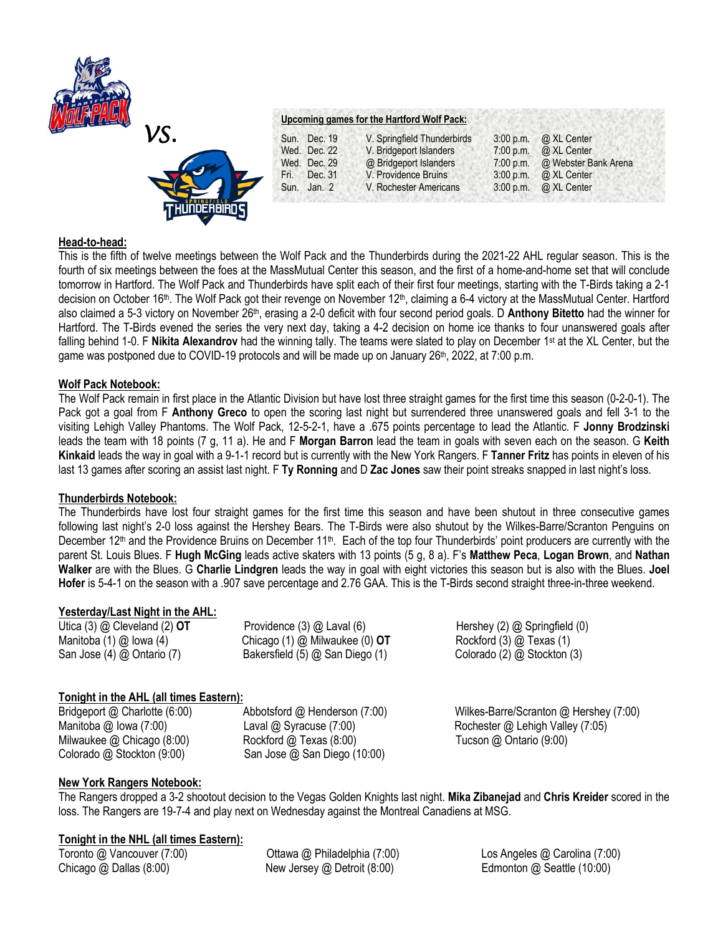



### **Upcoming games for the Hartford Wolf Pack:**

| Dec. 19<br>Sun.   | V. Springfield Thunderbirds | $3:00$ p.m. | @ XL Center          |
|-------------------|-----------------------------|-------------|----------------------|
| Wed. Dec. 22      | V. Bridgeport Islanders     | 7:00 p.m.   | @ XL Center          |
| Wed. Dec. 29      | @ Bridgeport Islanders      | 7:00 p.m.   | @ Webster Bank Arena |
| Dec. 31<br>Fri. I | V. Providence Bruins        | $3:00$ p.m. | @ XL Center          |
| Jan. $2$<br>Sun.  | V. Rochester Americans      | $3:00$ p.m. | @ XL Center          |
|                   |                             |             |                      |

### **Head-to-head:**

This is the fifth of twelve meetings between the Wolf Pack and the Thunderbirds during the 2021-22 AHL regular season. This is the fourth of six meetings between the foes at the MassMutual Center this season, and the first of a home-and-home set that will conclude tomorrow in Hartford. The Wolf Pack and Thunderbirds have split each of their first four meetings, starting with the T-Birds taking a 2-1 decision on October 16<sup>th</sup>. The Wolf Pack got their revenge on November 12<sup>th</sup>, claiming a 6-4 victory at the MassMutual Center. Hartford also claimed a 5-3 victory on November 26th, erasing a 2-0 deficit with four second period goals. D **Anthony Bitetto** had the winner for Hartford. The T-Birds evened the series the very next day, taking a 4-2 decision on home ice thanks to four unanswered goals after falling behind 1-0. F **Nikita Alexandrov** had the winning tally. The teams were slated to play on December 1<sup>st</sup> at the XL Center, but the game was postponed due to COVID-19 protocols and will be made up on January 26<sup>th</sup>, 2022, at 7:00 p.m.

### **Wolf Pack Notebook:**

The Wolf Pack remain in first place in the Atlantic Division but have lost three straight games for the first time this season (0-2-0-1). The Pack got a goal from F **Anthony Greco** to open the scoring last night but surrendered three unanswered goals and fell 3-1 to the visiting Lehigh Valley Phantoms. The Wolf Pack, 12-5-2-1, have a .675 points percentage to lead the Atlantic. F **Jonny Brodzinski**  leads the team with 18 points (7 g, 11 a). He and F **Morgan Barron** lead the team in goals with seven each on the season. G **Keith Kinkaid** leads the way in goal with a 9-1-1 record but is currently with the New York Rangers. F **Tanner Fritz** has points in eleven of his last 13 games after scoring an assist last night. F **Ty Ronning** and D **Zac Jones** saw their point streaks snapped in last night's loss.

### **Thunderbirds Notebook:**

The Thunderbirds have lost four straight games for the first time this season and have been shutout in three consecutive games following last night's 2-0 loss against the Hershey Bears. The T-Birds were also shutout by the Wilkes-Barre/Scranton Penguins on December 12<sup>th</sup> and the Providence Bruins on December 11<sup>th</sup>. Each of the top four Thunderbirds' point producers are currently with the parent St. Louis Blues. F **Hugh McGing** leads active skaters with 13 points (5 g, 8 a). F's **Matthew Peca**, **Logan Brown**, and **Nathan Walker** are with the Blues. G **Charlie Lindgren** leads the way in goal with eight victories this season but is also with the Blues. **Joel Hofer** is 5-4-1 on the season with a .907 save percentage and 2.76 GAA. This is the T-Birds second straight three-in-three weekend.

# **Yesterday/Last Night in the AHL:**

Utica (3) @ Cleveland (2) **OT** Providence (3) @ Laval (6) **Hershey (2) @ Springfield (0) Hershey (2)** @ Springfield (0) Manitoba (1) @ Iowa (4) Chicago (1) @ Milwaukee (0) **OT** Rockford (3) @ Texas (1)<br>
San Jose (4) @ Ontario (7) Bakersfield (5) @ San Diego (1) Colorado (2) @ Stockton (3) San Jose (4) @ Ontario (7) Bakersfield (5) @ San Diego (1)

# **Tonight in the AHL (all times Eastern):**

Milwaukee @ Chicago (8:00) Rockford @ Texas (8:00) Tucson @ Ontario (9:00) Colorado @ Stockton (9:00) San Jose @ San Diego (10:00)

Bridgeport @ Charlotte (6:00)Abbotsford @ Henderson (7:00) Wilkes-Barre/Scranton @ Hershey (7:00) Manitoba @ Iowa (7:00)Laval @ Syracuse (7:00) Rochester @ Lehigh Valley (7:05)

# **New York Rangers Notebook:**

The Rangers dropped a 3-2 shootout decision to the Vegas Golden Knights last night. **Mika Zibanejad** and **Chris Kreider** scored in the loss. The Rangers are 19-7-4 and play next on Wednesday against the Montreal Canadiens at MSG.

# **Tonight in the NHL (all times Eastern):**

Toronto @ Vancouver (7:00)Ottawa @ Philadelphia (7:00) Los Angeles @ Carolina (7:00) Chicago @ Dallas (8:00) New Jersey @ Detroit (8:00) Edmonton @ Seattle (10:00)